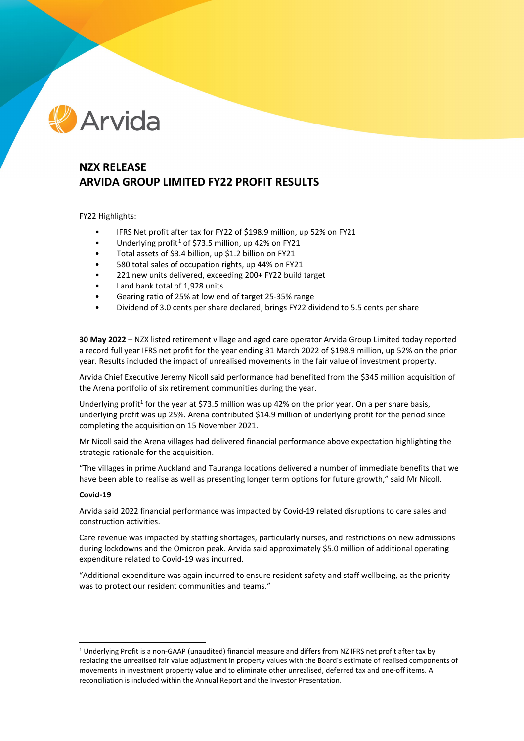

# **NZX RELEASE ARVIDA GROUP LIMITED FY22 PROFIT RESULTS**

FY22 Highlights:

- IFRS Net profit after tax for FY22 of \$198.9 million, up 52% on FY21
- Underlying profit<sup>[1](#page-0-0)</sup> of \$73.5 million, up 42% on FY21
- Total assets of \$3.4 billion, up \$1.2 billion on FY21
- 580 total sales of occupation rights, up 44% on FY21
- 221 new units delivered, exceeding 200+ FY22 build target
- Land bank total of 1,928 units
- Gearing ratio of 25% at low end of target 25-35% range
- Dividend of 3.0 cents per share declared, brings FY22 dividend to 5.5 cents per share

**30 May 2022** – NZX listed retirement village and aged care operator Arvida Group Limited today reported a record full year IFRS net profit for the year ending 31 March 2022 of \$198.9 million, up 52% on the prior year. Results included the impact of unrealised movements in the fair value of investment property.

Arvida Chief Executive Jeremy Nicoll said performance had benefited from the \$345 million acquisition of the Arena portfolio of six retirement communities during the year.

Underlying profit<sup>1</sup> for the year at \$73.5 million was up 42% on the prior year. On a per share basis, underlying profit was up 25%. Arena contributed \$14.9 million of underlying profit for the period since completing the acquisition on 15 November 2021.

Mr Nicoll said the Arena villages had delivered financial performance above expectation highlighting the strategic rationale for the acquisition.

"The villages in prime Auckland and Tauranga locations delivered a number of immediate benefits that we have been able to realise as well as presenting longer term options for future growth," said Mr Nicoll.

### **Covid-19**

Arvida said 2022 financial performance was impacted by Covid-19 related disruptions to care sales and construction activities.

Care revenue was impacted by staffing shortages, particularly nurses, and restrictions on new admissions during lockdowns and the Omicron peak. Arvida said approximately \$5.0 million of additional operating expenditure related to Covid-19 was incurred.

"Additional expenditure was again incurred to ensure resident safety and staff wellbeing, as the priority was to protect our resident communities and teams."

<span id="page-0-0"></span><sup>1</sup> Underlying Profit is a non-GAAP (unaudited) financial measure and differs from NZ IFRS net profit after tax by replacing the unrealised fair value adjustment in property values with the Board's estimate of realised components of movements in investment property value and to eliminate other unrealised, deferred tax and one-off items. A reconciliation is included within the Annual Report and the Investor Presentation.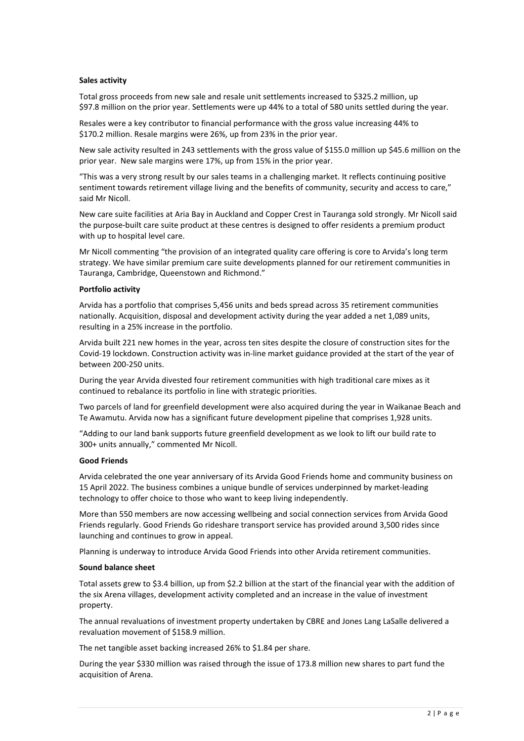#### **Sales activity**

Total gross proceeds from new sale and resale unit settlements increased to \$325.2 million, up \$97.8 million on the prior year. Settlements were up 44% to a total of 580 units settled during the year.

Resales were a key contributor to financial performance with the gross value increasing 44% to \$170.2 million. Resale margins were 26%, up from 23% in the prior year.

New sale activity resulted in 243 settlements with the gross value of \$155.0 million up \$45.6 million on the prior year. New sale margins were 17%, up from 15% in the prior year.

"This was a very strong result by our sales teams in a challenging market. It reflects continuing positive sentiment towards retirement village living and the benefits of community, security and access to care," said Mr Nicoll.

New care suite facilities at Aria Bay in Auckland and Copper Crest in Tauranga sold strongly. Mr Nicoll said the purpose-built care suite product at these centres is designed to offer residents a premium product with up to hospital level care.

Mr Nicoll commenting "the provision of an integrated quality care offering is core to Arvida's long term strategy. We have similar premium care suite developments planned for our retirement communities in Tauranga, Cambridge, Queenstown and Richmond."

### **Portfolio activity**

Arvida has a portfolio that comprises 5,456 units and beds spread across 35 retirement communities nationally. Acquisition, disposal and development activity during the year added a net 1,089 units, resulting in a 25% increase in the portfolio.

Arvida built 221 new homes in the year, across ten sites despite the closure of construction sites for the Covid-19 lockdown. Construction activity was in-line market guidance provided at the start of the year of between 200-250 units.

During the year Arvida divested four retirement communities with high traditional care mixes as it continued to rebalance its portfolio in line with strategic priorities.

Two parcels of land for greenfield development were also acquired during the year in Waikanae Beach and Te Awamutu. Arvida now has a significant future development pipeline that comprises 1,928 units.

"Adding to our land bank supports future greenfield development as we look to lift our build rate to 300+ units annually," commented Mr Nicoll.

## **Good Friends**

Arvida celebrated the one year anniversary of its Arvida Good Friends home and community business on 15 April 2022. The business combines a unique bundle of services underpinned by market-leading technology to offer choice to those who want to keep living independently.

More than 550 members are now accessing wellbeing and social connection services from Arvida Good Friends regularly. Good Friends Go rideshare transport service has provided around 3,500 rides since launching and continues to grow in appeal.

Planning is underway to introduce Arvida Good Friends into other Arvida retirement communities.

### **Sound balance sheet**

Total assets grew to \$3.4 billion, up from \$2.2 billion at the start of the financial year with the addition of the six Arena villages, development activity completed and an increase in the value of investment property.

The annual revaluations of investment property undertaken by CBRE and Jones Lang LaSalle delivered a revaluation movement of \$158.9 million.

The net tangible asset backing increased 26% to \$1.84 per share.

During the year \$330 million was raised through the issue of 173.8 million new shares to part fund the acquisition of Arena.